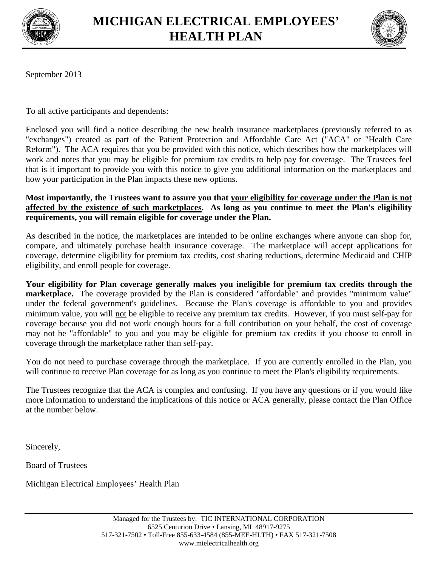



September 2013

To all active participants and dependents:

Enclosed you will find a notice describing the new health insurance marketplaces (previously referred to as "exchanges") created as part of the Patient Protection and Affordable Care Act ("ACA" or "Health Care Reform"). The ACA requires that you be provided with this notice, which describes how the marketplaces will work and notes that you may be eligible for premium tax credits to help pay for coverage. The Trustees feel that is it important to provide you with this notice to give you additional information on the marketplaces and how your participation in the Plan impacts these new options.

**Most importantly, the Trustees want to assure you that your eligibility for coverage under the Plan is not affected by the existence of such marketplaces. As long as you continue to meet the Plan's eligibility requirements, you will remain eligible for coverage under the Plan.**

As described in the notice, the marketplaces are intended to be online exchanges where anyone can shop for, compare, and ultimately purchase health insurance coverage. The marketplace will accept applications for coverage, determine eligibility for premium tax credits, cost sharing reductions, determine Medicaid and CHIP eligibility, and enroll people for coverage.

**Your eligibility for Plan coverage generally makes you ineligible for premium tax credits through the marketplace.** The coverage provided by the Plan is considered "affordable" and provides "minimum value" under the federal government's guidelines. Because the Plan's coverage is affordable to you and provides minimum value, you will not be eligible to receive any premium tax credits. However, if you must self-pay for coverage because you did not work enough hours for a full contribution on your behalf, the cost of coverage may not be "affordable" to you and you may be eligible for premium tax credits if you choose to enroll in coverage through the marketplace rather than self-pay.

You do not need to purchase coverage through the marketplace. If you are currently enrolled in the Plan, you will continue to receive Plan coverage for as long as you continue to meet the Plan's eligibility requirements.

The Trustees recognize that the ACA is complex and confusing. If you have any questions or if you would like more information to understand the implications of this notice or ACA generally, please contact the Plan Office at the number below.

Sincerely,

Board of Trustees

Michigan Electrical Employees' Health Plan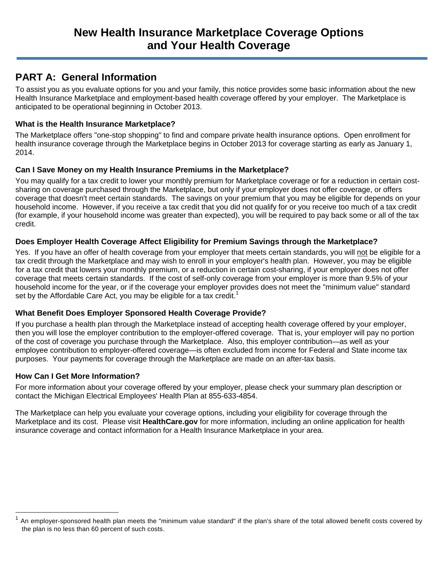## **PART A: General Information**

To assist you as you evaluate options for you and your family, this notice provides some basic information about the new Health Insurance Marketplace and employment-based health coverage offered by your employer. The Marketplace is anticipated to be operational beginning in October 2013.

#### **What is the Health Insurance Marketplace?**

The Marketplace offers "one-stop shopping" to find and compare private health insurance options. Open enrollment for health insurance coverage through the Marketplace begins in October 2013 for coverage starting as early as January 1, 2014.

#### **Can I Save Money on my Health Insurance Premiums in the Marketplace?**

You may qualify for a tax credit to lower your monthly premium for Marketplace coverage or for a reduction in certain costsharing on coverage purchased through the Marketplace, but only if your employer does not offer coverage, or offers coverage that doesn't meet certain standards. The savings on your premium that you may be eligible for depends on your household income. However, if you receive a tax credit that you did not qualify for or you receive too much of a tax credit (for example, if your household income was greater than expected), you will be required to pay back some or all of the tax credit.

### **Does Employer Health Coverage Affect Eligibility for Premium Savings through the Marketplace?**

Yes. If you have an offer of health coverage from your employer that meets certain standards, you will not be eligible for a tax credit through the Marketplace and may wish to enroll in your employer's health plan. However, you may be eligible for a tax credit that lowers your monthly premium, or a reduction in certain cost-sharing, if your employer does not offer coverage that meets certain standards. If the cost of self-only coverage from your employer is more than 9.5% of your household income for the year, or if the coverage your employer provides does not meet the "minimum value" standard set by the Affordable Care Act, you may be eligible for a tax credit.<sup>1</sup>

### **What Benefit Does Employer Sponsored Health Coverage Provide?**

If you purchase a health plan through the Marketplace instead of accepting health coverage offered by your employer, then you will lose the employer contribution to the employer-offered coverage. That is, your employer will pay no portion of the cost of coverage you purchase through the Marketplace. Also, this employer contribution—as well as your employee contribution to employer-offered coverage—is often excluded from income for Federal and State income tax purposes. Your payments for coverage through the Marketplace are made on an after-tax basis.

#### **How Can I Get More Information?**

For more information about your coverage offered by your employer, please check your summary plan description or contact the Michigan Electrical Employees' Health Plan at 855-633-4854.

The Marketplace can help you evaluate your coverage options, including your eligibility for coverage through the Marketplace and its cost. Please visit **HealthCare.gov** for more information, including an online application for health insurance coverage and contact information for a Health Insurance Marketplace in your area.

<sup>1</sup> An employer-sponsored health plan meets the "minimum value standard" if the plan's share of the total allowed benefit costs covered by the plan is no less than 60 percent of such costs.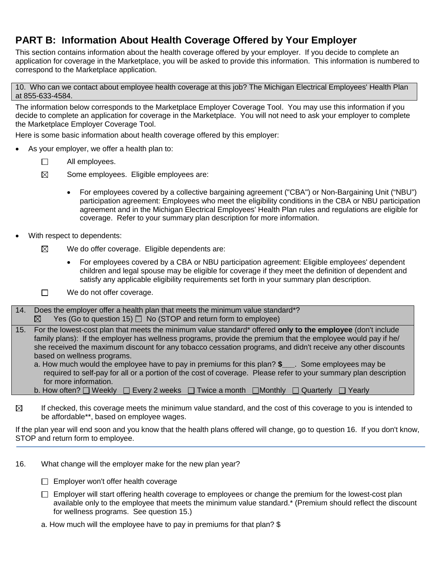# **PART B: Information About Health Coverage Offered by Your Employer**

This section contains information about the health coverage offered by your employer. If you decide to complete an application for coverage in the Marketplace, you will be asked to provide this information. This information is numbered to correspond to the Marketplace application.

10. Who can we contact about employee health coverage at this job? The Michigan Electrical Employees' Health Plan at 855-633-4584.

The information below corresponds to the Marketplace Employer Coverage Tool. You may use this information if you decide to complete an application for coverage in the Marketplace. You will not need to ask your employer to complete the Marketplace Employer Coverage Tool.

Here is some basic information about health coverage offered by this employer:

- As your employer, we offer a health plan to:
	- $\Box$ All employees.
	- $\boxtimes$ Some employees. Eligible employees are:
		- For employees covered by a collective bargaining agreement ("CBA") or Non-Bargaining Unit ("NBU") participation agreement: Employees who meet the eligibility conditions in the CBA or NBU participation agreement and in the Michigan Electrical Employees' Health Plan rules and regulations are eligible for coverage. Refer to your summary plan description for more information.
- With respect to dependents:
	- $\boxtimes$ We do offer coverage. Eligible dependents are:
		- For employees covered by a CBA or NBU participation agreement: Eligible employees' dependent children and legal spouse may be eligible for coverage if they meet the definition of dependent and satisfy any applicable eligibility requirements set forth in your summary plan description.
	- $\Box$ We do not offer coverage.
- 14. Does the employer offer a health plan that meets the minimum value standard\*? Yes (Go to question 15)  $\Box$  No (STOP and return form to employee)  $\boxtimes$
- 15. For the lowest-cost plan that meets the minimum value standard\* offered **only to the employee** (don't include family plans): If the employer has wellness programs, provide the premium that the employee would pay if he/ she received the maximum discount for any tobacco cessation programs, and didn't receive any other discounts based on wellness programs.

a. How much would the employee have to pay in premiums for this plan? **\$\_\_\_**. Some employees may be required to self-pay for all or a portion of the cost of coverage. Please refer to your summary plan description for more information.

- b. How often?  $\Box$  Weekly  $\Box$  Every 2 weeks  $\Box$  Twice a month  $\Box$  Monthly  $\Box$  Quarterly  $\Box$  Yearly
- $\boxtimes$ If checked, this coverage meets the minimum value standard, and the cost of this coverage to you is intended to be affordable\*\*, based on employee wages.

If the plan year will end soon and you know that the health plans offered will change, go to question 16. If you don't know, STOP and return form to employee.

- 16. What change will the employer make for the new plan year?
	- $\Box$  Employer won't offer health coverage
	- $\Box$  Employer will start offering health coverage to employees or change the premium for the lowest-cost plan available only to the employee that meets the minimum value standard.\* (Premium should reflect the discount for wellness programs. See question 15.)
	- a. How much will the employee have to pay in premiums for that plan? \$